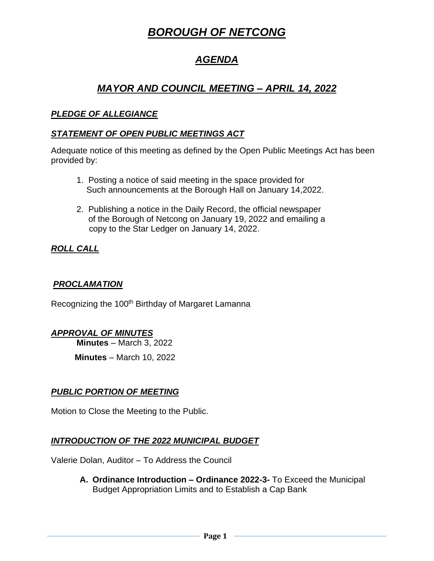# *BOROUGH OF NETCONG*

## *AGENDA*

## *MAYOR AND COUNCIL MEETING – APRIL 14, 2022*

#### *PLEDGE OF ALLEGIANCE*

#### *STATEMENT OF OPEN PUBLIC MEETINGS ACT*

Adequate notice of this meeting as defined by the Open Public Meetings Act has been provided by:

- 1. Posting a notice of said meeting in the space provided for Such announcements at the Borough Hall on January 14,2022.
- 2. Publishing a notice in the Daily Record, the official newspaper of the Borough of Netcong on January 19, 2022 and emailing a copy to the Star Ledger on January 14, 2022.

### *ROLL CALL*

#### *PROCLAMATION*

Recognizing the 100<sup>th</sup> Birthday of Margaret Lamanna

#### *APPROVAL OF MINUTES*

**Minutes** – March 3, 2022

**Minutes** – March 10, 2022

#### *PUBLIC PORTION OF MEETING*

Motion to Close the Meeting to the Public.

#### *INTRODUCTION OF THE 2022 MUNICIPAL BUDGET*

Valerie Dolan, Auditor – To Address the Council

**A. Ordinance Introduction – Ordinance 2022-3-** To Exceed the Municipal Budget Appropriation Limits and to Establish a Cap Bank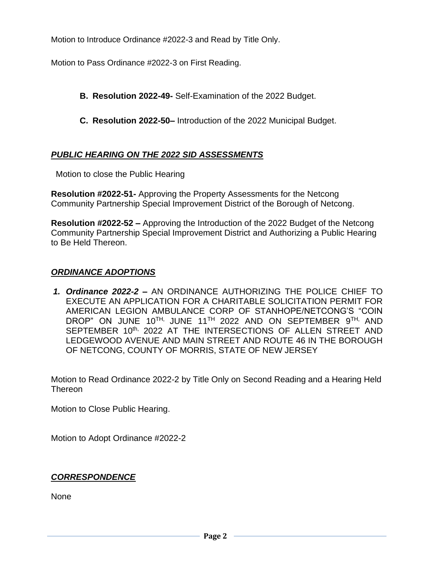Motion to Introduce Ordinance #2022-3 and Read by Title Only.

Motion to Pass Ordinance #2022-3 on First Reading.

- **B. Resolution 2022-49-** Self-Examination of the 2022 Budget.
- **C. Resolution 2022-50–** Introduction of the 2022 Municipal Budget.

### *PUBLIC HEARING ON THE 2022 SID ASSESSMENTS*

Motion to close the Public Hearing

**Resolution #2022-51-** Approving the Property Assessments for the Netcong Community Partnership Special Improvement District of the Borough of Netcong.

**Resolution #2022-52 –** Approving the Introduction of the 2022 Budget of the Netcong Community Partnership Special Improvement District and Authorizing a Public Hearing to Be Held Thereon.

#### *ORDINANCE ADOPTIONS*

*1. Ordinance 2022-2 –* AN ORDINANCE AUTHORIZING THE POLICE CHIEF TO EXECUTE AN APPLICATION FOR A CHARITABLE SOLICITATION PERMIT FOR AMERICAN LEGION AMBULANCE CORP OF STANHOPE/NETCONG'S "COIN DROP" ON JUNE 10<sup>th,</sup> JUNE 11<sup>th</sup> 2022 and ON SEPTEMBER 9<sup>th,</sup> AND SEPTEMBER 10<sup>th,</sup> 2022 AT THE INTERSECTIONS OF ALLEN STREET AND LEDGEWOOD AVENUE AND MAIN STREET AND ROUTE 46 IN THE BOROUGH OF NETCONG, COUNTY OF MORRIS, STATE OF NEW JERSEY

Motion to Read Ordinance 2022-2 by Title Only on Second Reading and a Hearing Held Thereon

Motion to Close Public Hearing.

Motion to Adopt Ordinance #2022-2

#### *CORRESPONDENCE*

None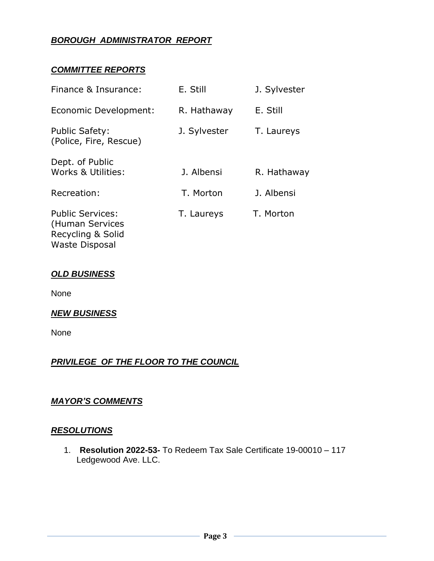## *BOROUGH ADMINISTRATOR REPORT*

#### *COMMITTEE REPORTS*

| Finance & Insurance:                                            | E. Still     | J. Sylvester |
|-----------------------------------------------------------------|--------------|--------------|
| Economic Development:                                           | R. Hathaway  | E. Still     |
| <b>Public Safety:</b><br>(Police, Fire, Rescue)                 | J. Sylvester | T. Laureys   |
| Dept. of Public<br>Works & Utilities:                           | J. Albensi   | R. Hathaway  |
| Recreation:                                                     | T. Morton    | J. Albensi   |
| <b>Public Services:</b><br>(Human Services<br>Recycling & Solid | T. Laureys   | T. Morton    |

#### *OLD BUSINESS*

Waste Disposal

None

#### *NEW BUSINESS*

None

#### *PRIVILEGE OF THE FLOOR TO THE COUNCIL*

#### *MAYOR'S COMMENTS*

#### *RESOLUTIONS*

1. **Resolution 2022-53-** To Redeem Tax Sale Certificate 19-00010 – 117 Ledgewood Ave. LLC.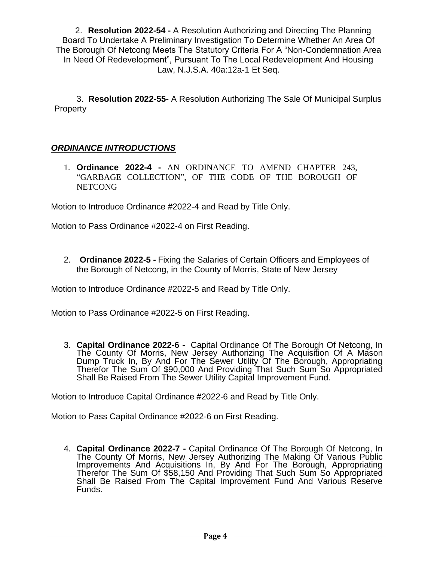2. **Resolution 2022-54 -** A Resolution Authorizing and Directing The Planning Board To Undertake A Preliminary Investigation To Determine Whether An Area Of The Borough Of Netcong Meets The Statutory Criteria For A "Non-Condemnation Area In Need Of Redevelopment", Pursuant To The Local Redevelopment And Housing Law, N.J.S.A. 40a:12a-1 Et Seq.

3. **Resolution 2022-55-** A Resolution Authorizing The Sale Of Municipal Surplus **Property** 

### *ORDINANCE INTRODUCTIONS*

1. **Ordinance 2022-4 -** AN ORDINANCE TO AMEND CHAPTER 243, "GARBAGE COLLECTION", OF THE CODE OF THE BOROUGH OF NETCONG

Motion to Introduce Ordinance #2022-4 and Read by Title Only.

Motion to Pass Ordinance #2022-4 on First Reading.

2. **Ordinance 2022-5 -** Fixing the Salaries of Certain Officers and Employees of the Borough of Netcong, in the County of Morris, State of New Jersey

Motion to Introduce Ordinance #2022-5 and Read by Title Only.

Motion to Pass Ordinance #2022-5 on First Reading.

3. **Capital Ordinance 2022-6 -** Capital Ordinance Of The Borough Of Netcong, In The County Of Morris, New Jersey Authorizing The Acquisition Of A Mason Dump Truck In, By And For The Sewer Utility Of The Borough, Appropriating Therefor The Sum Of \$90,000 And Providing That Such Sum So Appropriated Shall Be Raised From The Sewer Utility Capital Improvement Fund.

Motion to Introduce Capital Ordinance #2022-6 and Read by Title Only.

Motion to Pass Capital Ordinance #2022-6 on First Reading.

4. **Capital Ordinance 2022-7 -** Capital Ordinance Of The Borough Of Netcong, In The County Of Morris, New Jersey Authorizing The Making Of Various Public Improvements And Acquisitions In, By And For The Borough, Appropriating Therefor The Sum Of \$58,150 And Providing That Such Sum So Appropriated Shall Be Raised From The Capital Improvement Fund And Various Reserve Funds.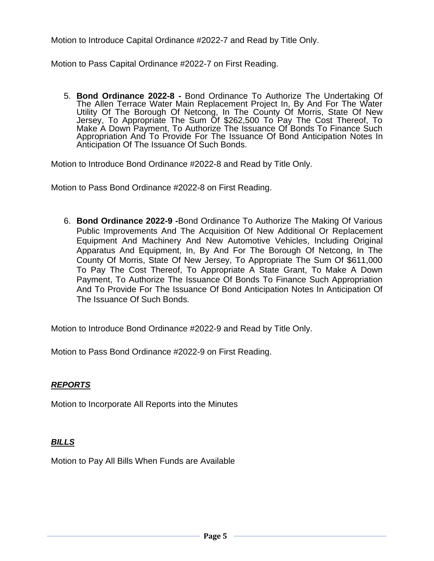Motion to Introduce Capital Ordinance #2022-7 and Read by Title Only.

Motion to Pass Capital Ordinance #2022-7 on First Reading.

5. **Bond Ordinance 2022-8 -** Bond Ordinance To Authorize The Undertaking Of The Allen Terrace Water Main Replacement Project In, By And For The Water Utility Of The Borough Of Netcong, In The County Of Morris, State Of New Jersey, To Appropriate The Sum Of \$262,500 To Pay The Cost Thereof, To Make A Down Payment, To Authorize The Issuance Of Bonds To Finance Such Appropriation And To Provide For The Issuance Of Bond Anticipation Notes In Anticipation Of The Issuance Of Such Bonds.

Motion to Introduce Bond Ordinance #2022-8 and Read by Title Only.

Motion to Pass Bond Ordinance #2022-8 on First Reading.

6. **Bond Ordinance 2022-9 -**Bond Ordinance To Authorize The Making Of Various Public Improvements And The Acquisition Of New Additional Or Replacement Equipment And Machinery And New Automotive Vehicles, Including Original Apparatus And Equipment, In, By And For The Borough Of Netcong, In The County Of Morris, State Of New Jersey, To Appropriate The Sum Of \$611,000 To Pay The Cost Thereof, To Appropriate A State Grant, To Make A Down Payment, To Authorize The Issuance Of Bonds To Finance Such Appropriation And To Provide For The Issuance Of Bond Anticipation Notes In Anticipation Of The Issuance Of Such Bonds.

Motion to Introduce Bond Ordinance #2022-9 and Read by Title Only.

Motion to Pass Bond Ordinance #2022-9 on First Reading.

#### *REPORTS*

Motion to Incorporate All Reports into the Minutes

#### *BILLS*

Motion to Pay All Bills When Funds are Available